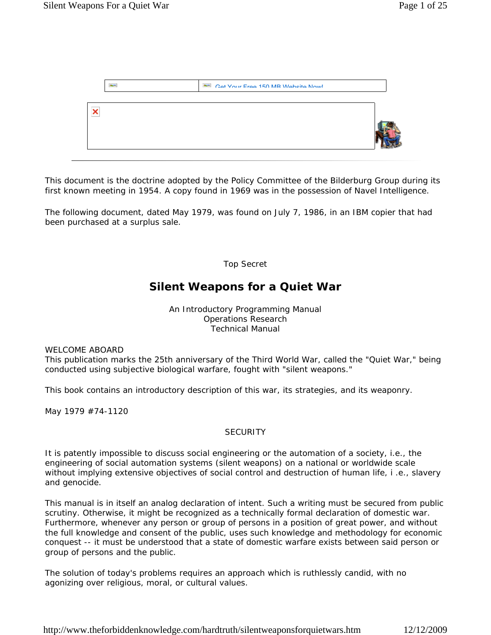| <b>Burn</b> | Cot Vour Eron 150 MR Woheito Nowl |  |
|-------------|-----------------------------------|--|
|             |                                   |  |
|             |                                   |  |
|             |                                   |  |

This document is the doctrine adopted by the Policy Committee of the Bilderburg Group during its first known meeting in 1954. A copy found in 1969 was in the possession of Navel Intelligence.

The following document, dated May 1979, was found on July 7, 1986, in an IBM copier that had been purchased at a surplus sale.

Top Secret

# **Silent Weapons for a Quiet War**

An Introductory Programming Manual Operations Research Technical Manual

#### WELCOME ABOARD

This publication marks the 25th anniversary of the Third World War, called the "Quiet War," being conducted using subjective biological warfare, fought with "silent weapons."

This book contains an introductory description of this war, its strategies, and its weaponry.

May 1979 #74-1120

## **SECURITY**

It is patently impossible to discuss social engineering or the automation of a society, i.e., the engineering of social automation systems (silent weapons) on a national or worldwide scale without implying extensive objectives of social control and destruction of human life, i .e., slavery and genocide.

This manual is in itself an analog declaration of intent. Such a writing must be secured from public scrutiny. Otherwise, it might be recognized as a technically formal declaration of domestic war. Furthermore, whenever any person or group of persons in a position of great power, and without the full knowledge and consent of the public, uses such knowledge and methodology for economic conquest -- it must be understood that a state of domestic warfare exists between said person or group of persons and the public.

The solution of today's problems requires an approach which is ruthlessly candid, with no agonizing over religious, moral, or cultural values.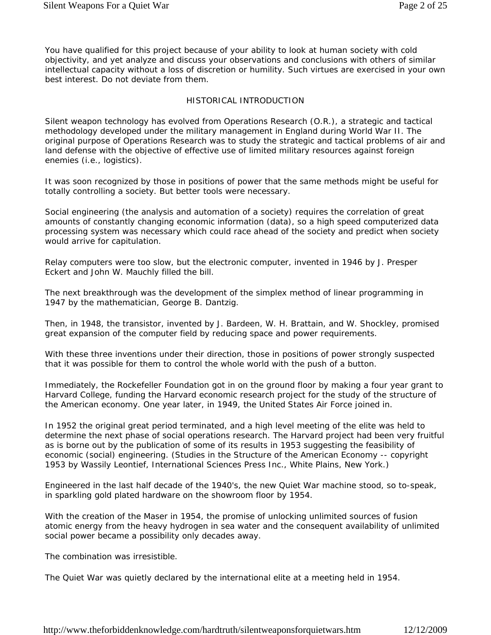You have qualified for this project because of your ability to look at human society with cold objectivity, and yet analyze and discuss your observations and conclusions with others of similar intellectual capacity without a loss of discretion or humility. Such virtues are exercised in your own best interest. Do not deviate from them.

## HISTORICAL INTRODUCTION

Silent weapon technology has evolved from Operations Research (O.R.), a strategic and tactical methodology developed under the military management in England during World War II. The original purpose of Operations Research was to study the strategic and tactical problems of air and land defense with the objective of effective use of limited military resources against foreign enemies (i.e., logistics).

It was soon recognized by those in positions of power that the same methods might be useful for totally controlling a society. But better tools were necessary.

Social engineering (the analysis and automation of a society) requires the correlation of great amounts of constantly changing economic information (data), so a high speed computerized data processing system was necessary which could race ahead of the society and predict when society would arrive for capitulation.

Relay computers were too slow, but the electronic computer, invented in 1946 by J. Presper Eckert and John W. Mauchly filled the bill.

The next breakthrough was the development of the simplex method of linear programming in 1947 by the mathematician, George B. Dantzig.

Then, in 1948, the transistor, invented by J. Bardeen, W. H. Brattain, and W. Shockley, promised great expansion of the computer field by reducing space and power requirements.

With these three inventions under their direction, those in positions of power strongly suspected that it was possible for them to control the whole world with the push of a button.

Immediately, the Rockefeller Foundation got in on the ground floor by making a four year grant to Harvard College, funding the Harvard economic research project for the study of the structure of the American economy. One year later, in 1949, the United States Air Force joined in.

In 1952 the original great period terminated, and a high level meeting of the elite was held to determine the next phase of social operations research. The Harvard project had been very fruitful as is borne out by the publication of some of its results in 1953 suggesting the feasibility of economic (social) engineering. (Studies in the Structure of the American Economy -- copyright 1953 by Wassily Leontief, International Sciences Press Inc., White Plains, New York.)

Engineered in the last half decade of the 1940's, the new Quiet War machine stood, so to-speak, in sparkling gold plated hardware on the showroom floor by 1954.

With the creation of the Maser in 1954, the promise of unlocking unlimited sources of fusion atomic energy from the heavy hydrogen in sea water and the consequent availability of unlimited social power became a possibility only decades away.

The combination was irresistible.

The Quiet War was quietly declared by the international elite at a meeting held in 1954.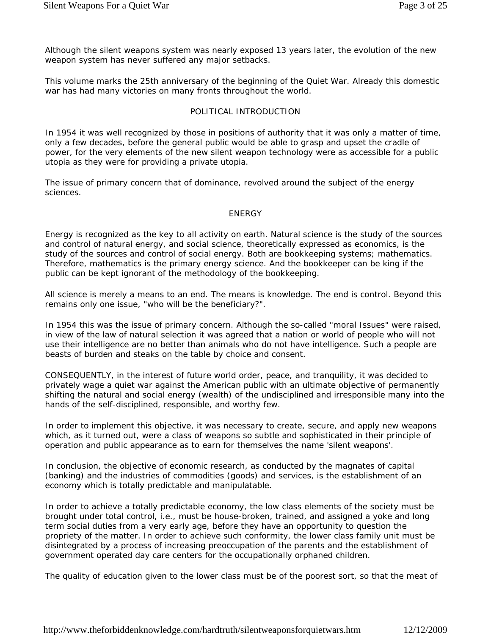Although the silent weapons system was nearly exposed 13 years later, the evolution of the new weapon system has never suffered any major setbacks.

This volume marks the 25th anniversary of the beginning of the Quiet War. Already this domestic war has had many victories on many fronts throughout the world.

## POLITICAL INTRODUCTION

In 1954 it was well recognized by those in positions of authority that it was only a matter of time, only a few decades, before the general public would be able to grasp and upset the cradle of power, for the very elements of the new silent weapon technology were as accessible for a public utopia as they were for providing a private utopia.

The issue of primary concern that of dominance, revolved around the subject of the energy sciences.

## ENERGY

Energy is recognized as the key to all activity on earth. Natural science is the study of the sources and control of natural energy, and social science, theoretically expressed as economics, is the study of the sources and control of social energy. Both are bookkeeping systems; mathematics. Therefore, mathematics is the primary energy science. And the bookkeeper can be king if the public can be kept ignorant of the methodology of the bookkeeping.

All science is merely a means to an end. The means is knowledge. The end is control. Beyond this remains only one issue, "who will be the beneficiary?".

In 1954 this was the issue of primary concern. Although the so-called "moral Issues" were raised, in view of the law of natural selection it was agreed that a nation or world of people who will not use their intelligence are no better than animals who do not have intelligence. Such a people are beasts of burden and steaks on the table by choice and consent.

CONSEQUENTLY, in the interest of future world order, peace, and tranquility, it was decided to privately wage a quiet war against the American public with an ultimate objective of permanently shifting the natural and social energy (wealth) of the undisciplined and irresponsible many into the hands of the self-disciplined, responsible, and worthy few.

In order to implement this objective, it was necessary to create, secure, and apply new weapons which, as it turned out, were a class of weapons so subtle and sophisticated in their principle of operation and public appearance as to earn for themselves the name 'silent weapons'.

In conclusion, the objective of economic research, as conducted by the magnates of capital (banking) and the industries of commodities (goods) and services, is the establishment of an economy which is totally predictable and manipulatable.

In order to achieve a totally predictable economy, the low class elements of the society must be brought under total control, i.e., must be house-broken, trained, and assigned a yoke and long term social duties from a very early age, before they have an opportunity to question the propriety of the matter. In order to achieve such conformity, the lower class family unit must be disintegrated by a process of increasing preoccupation of the parents and the establishment of government operated day care centers for the occupationally orphaned children.

The quality of education given to the lower class must be of the poorest sort, so that the meat of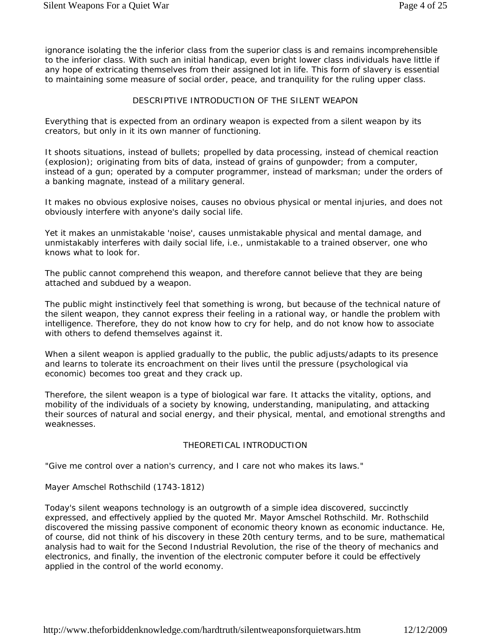ignorance isolating the the inferior class from the superior class is and remains incomprehensible to the inferior class. With such an initial handicap, even bright lower class individuals have little if any hope of extricating themselves from their assigned lot in life. This form of slavery is essential to maintaining some measure of social order, peace, and tranquility for the ruling upper class.

## DESCRIPTIVE INTRODUCTION OF THE SILENT WEAPON

Everything that is expected from an ordinary weapon is expected from a silent weapon by its creators, but only in it its own manner of functioning.

It shoots situations, instead of bullets; propelled by data processing, instead of chemical reaction (explosion); originating from bits of data, instead of grains of gunpowder; from a computer, instead of a gun; operated by a computer programmer, instead of marksman; under the orders of a banking magnate, instead of a military general.

It makes no obvious explosive noises, causes no obvious physical or mental injuries, and does not obviously interfere with anyone's daily social life.

Yet it makes an unmistakable 'noise', causes unmistakable physical and mental damage, and unmistakably interferes with daily social life, i.e., unmistakable to a trained observer, one who knows what to look for.

The public cannot comprehend this weapon, and therefore cannot believe that they are being attached and subdued by a weapon.

The public might instinctively feel that something is wrong, but because of the technical nature of the silent weapon, they cannot express their feeling in a rational way, or handle the problem with intelligence. Therefore, they do not know how to cry for help, and do not know how to associate with others to defend themselves against it.

When a silent weapon is applied gradually to the public, the public adjusts/adapts to its presence and learns to tolerate its encroachment on their lives until the pressure (psychological via economic) becomes too great and they crack up.

Therefore, the silent weapon is a type of biological war fare. It attacks the vitality, options, and mobility of the individuals of a society by knowing, understanding, manipulating, and attacking their sources of natural and social energy, and their physical, mental, and emotional strengths and weaknesses.

#### THEORETICAL INTRODUCTION

"Give me control over a nation's currency, and I care not who makes its laws."

Mayer Amschel Rothschild (1743-1812)

Today's silent weapons technology is an outgrowth of a simple idea discovered, succinctly expressed, and effectively applied by the quoted Mr. Mayor Amschel Rothschild. Mr. Rothschild discovered the missing passive component of economic theory known as economic inductance. He, of course, did not think of his discovery in these 20th century terms, and to be sure, mathematical analysis had to wait for the Second Industrial Revolution, the rise of the theory of mechanics and electronics, and finally, the invention of the electronic computer before it could be effectively applied in the control of the world economy.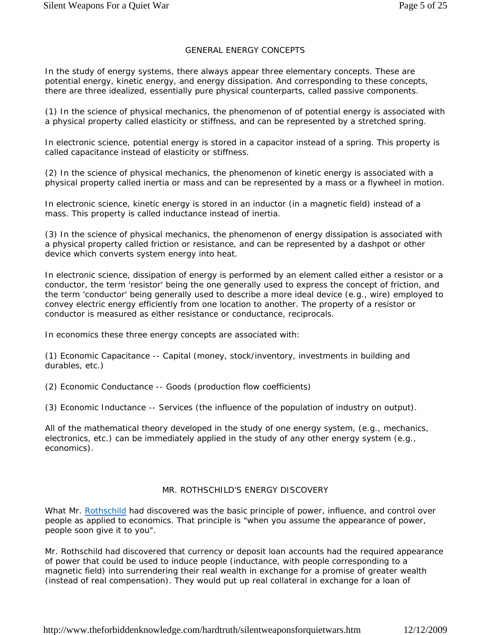## GENERAL ENERGY CONCEPTS

In the study of energy systems, there always appear three elementary concepts. These are potential energy, kinetic energy, and energy dissipation. And corresponding to these concepts, there are three idealized, essentially pure physical counterparts, called passive components.

(1) In the science of physical mechanics, the phenomenon of of potential energy is associated with a physical property called elasticity or stiffness, and can be represented by a stretched spring.

In electronic science, potential energy is stored in a capacitor instead of a spring. This property is called capacitance instead of elasticity or stiffness.

(2) In the science of physical mechanics, the phenomenon of kinetic energy is associated with a physical property called inertia or mass and can be represented by a mass or a flywheel in motion.

In electronic science, kinetic energy is stored in an inductor (in a magnetic field) instead of a mass. This property is called inductance instead of inertia.

(3) In the science of physical mechanics, the phenomenon of energy dissipation is associated with a physical property called friction or resistance, and can be represented by a dashpot or other device which converts system energy into heat.

In electronic science, dissipation of energy is performed by an element called either a resistor or a conductor, the term 'resistor' being the one generally used to express the concept of friction, and the term 'conductor' being generally used to describe a more ideal device (e.g., wire) employed to convey electric energy efficiently from one location to another. The property of a resistor or conductor is measured as either resistance or conductance, reciprocals.

In economics these three energy concepts are associated with:

(1) Economic Capacitance -- Capital (money, stock/inventory, investments in building and durables, etc.)

(2) Economic Conductance -- Goods (production flow coefficients)

(3) Economic Inductance -- Services (the influence of the population of industry on output).

All of the mathematical theory developed in the study of one energy system, (e.g., mechanics, electronics, etc.) can be immediately applied in the study of any other energy system (e.g., economics).

## MR. ROTHSCHILD'S ENERGY DISCOVERY

What Mr. Rothschild had discovered was the basic principle of power, influence, and control over people as applied to economics. That principle is "when you assume the appearance of power, people soon give it to you".

Mr. Rothschild had discovered that currency or deposit loan accounts had the required appearance of power that could be used to induce people (inductance, with people corresponding to a magnetic field) into surrendering their real wealth in exchange for a promise of greater wealth (instead of real compensation). They would put up real collateral in exchange for a loan of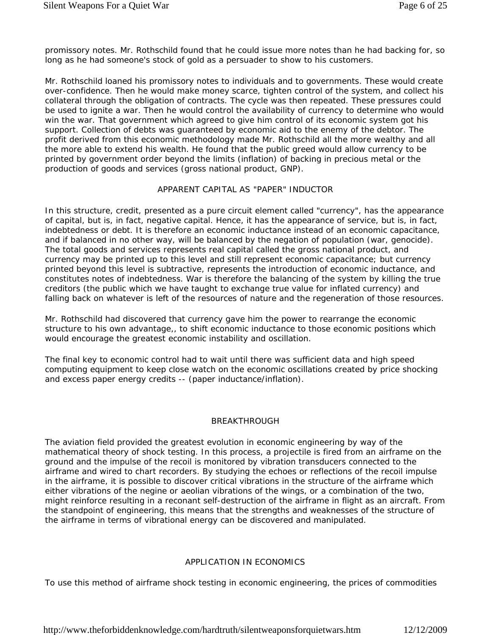promissory notes. Mr. Rothschild found that he could issue more notes than he had backing for, so long as he had someone's stock of gold as a persuader to show to his customers.

Mr. Rothschild loaned his promissory notes to individuals and to governments. These would create over-confidence. Then he would make money scarce, tighten control of the system, and collect his collateral through the obligation of contracts. The cycle was then repeated. These pressures could be used to ignite a war. Then he would control the availability of currency to determine who would win the war. That government which agreed to give him control of its economic system got his support. Collection of debts was guaranteed by economic aid to the enemy of the debtor. The profit derived from this economic methodology made Mr. Rothschild all the more wealthy and all the more able to extend his wealth. He found that the public greed would allow currency to be printed by government order beyond the limits (inflation) of backing in precious metal or the production of goods and services (gross national product, GNP).

## APPARENT CAPITAL AS "PAPER" INDUCTOR

In this structure, credit, presented as a pure circuit element called "currency", has the appearance of capital, but is, in fact, negative capital. Hence, it has the appearance of service, but is, in fact, indebtedness or debt. It is therefore an economic inductance instead of an economic capacitance, and if balanced in no other way, will be balanced by the negation of population (war, genocide). The total goods and services represents real capital called the gross national product, and currency may be printed up to this level and still represent economic capacitance; but currency printed beyond this level is subtractive, represents the introduction of economic inductance, and constitutes notes of indebtedness. War is therefore the balancing of the system by killing the true creditors (the public which we have taught to exchange true value for inflated currency) and falling back on whatever is left of the resources of nature and the regeneration of those resources.

Mr. Rothschild had discovered that currency gave him the power to rearrange the economic structure to his own advantage,, to shift economic inductance to those economic positions which would encourage the greatest economic instability and oscillation.

The final key to economic control had to wait until there was sufficient data and high speed computing equipment to keep close watch on the economic oscillations created by price shocking and excess paper energy credits -- (paper inductance/inflation).

#### BREAKTHROUGH

The aviation field provided the greatest evolution in economic engineering by way of the mathematical theory of shock testing. In this process, a projectile is fired from an airframe on the ground and the impulse of the recoil is monitored by vibration transducers connected to the airframe and wired to chart recorders. By studying the echoes or reflections of the recoil impulse in the airframe, it is possible to discover critical vibrations in the structure of the airframe which either vibrations of the negine or aeolian vibrations of the wings, or a combination of the two, might reinforce resulting in a reconant self-destruction of the airframe in flight as an aircraft. From the standpoint of engineering, this means that the strengths and weaknesses of the structure of the airframe in terms of vibrational energy can be discovered and manipulated.

## APPLICATION IN ECONOMICS

To use this method of airframe shock testing in economic engineering, the prices of commodities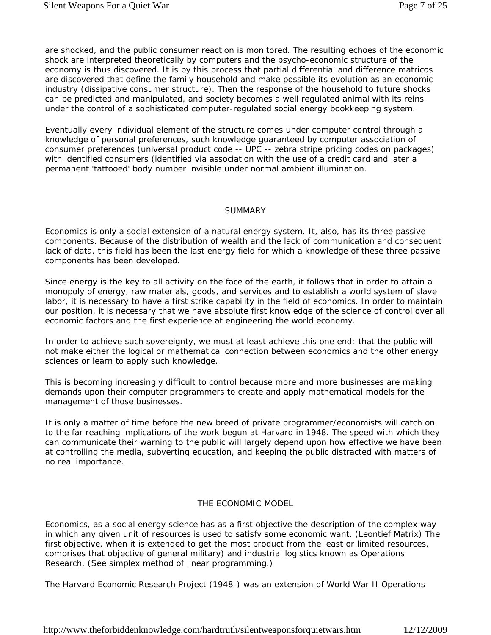are shocked, and the public consumer reaction is monitored. The resulting echoes of the economic shock are interpreted theoretically by computers and the psycho-economic structure of the economy is thus discovered. It is by this process that partial differential and difference matricos are discovered that define the family household and make possible its evolution as an economic industry (dissipative consumer structure). Then the response of the household to future shocks can be predicted and manipulated, and society becomes a well regulated animal with its reins under the control of a sophisticated computer-regulated social energy bookkeeping system.

Eventually every individual element of the structure comes under computer control through a knowledge of personal preferences, such knowledge guaranteed by computer association of consumer preferences (universal product code -- UPC -- zebra stripe pricing codes on packages) with identified consumers (identified via association with the use of a credit card and later a permanent 'tattooed' body number invisible under normal ambient illumination.

#### **SUMMARY**

Economics is only a social extension of a natural energy system. It, also, has its three passive components. Because of the distribution of wealth and the lack of communication and consequent lack of data, this field has been the last energy field for which a knowledge of these three passive components has been developed.

Since energy is the key to all activity on the face of the earth, it follows that in order to attain a monopoly of energy, raw materials, goods, and services and to establish a world system of slave labor, it is necessary to have a first strike capability in the field of economics. In order to maintain our position, it is necessary that we have absolute first knowledge of the science of control over all economic factors and the first experience at engineering the world economy.

In order to achieve such sovereignty, we must at least achieve this one end: that the public will not make either the logical or mathematical connection between economics and the other energy sciences or learn to apply such knowledge.

This is becoming increasingly difficult to control because more and more businesses are making demands upon their computer programmers to create and apply mathematical models for the management of those businesses.

It is only a matter of time before the new breed of private programmer/economists will catch on to the far reaching implications of the work begun at Harvard in 1948. The speed with which they can communicate their warning to the public will largely depend upon how effective we have been at controlling the media, subverting education, and keeping the public distracted with matters of no real importance.

#### THE ECONOMIC MODEL

Economics, as a social energy science has as a first objective the description of the complex way in which any given unit of resources is used to satisfy some economic want. (Leontief Matrix) The first objective, when it is extended to get the most product from the least or limited resources, comprises that objective of general military) and industrial logistics known as Operations Research. (See simplex method of linear programming.)

The Harvard Economic Research Project (1948-) was an extension of World War II Operations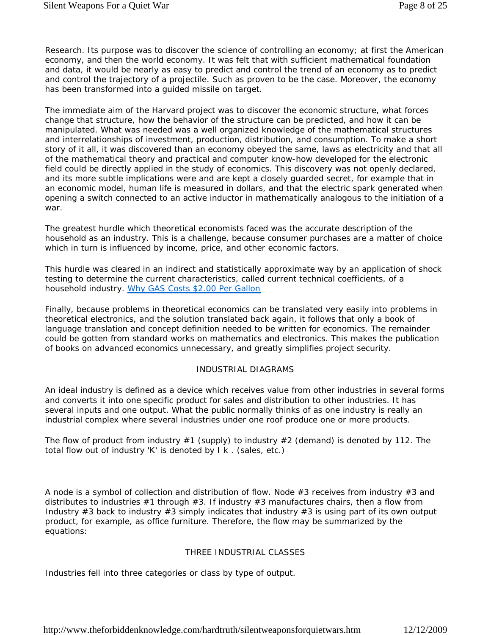Research. Its purpose was to discover the science of controlling an economy; at first the American economy, and then the world economy. It was felt that with sufficient mathematical foundation and data, it would be nearly as easy to predict and control the trend of an economy as to predict and control the trajectory of a projectile. Such as proven to be the case. Moreover, the economy has been transformed into a guided missile on target.

The immediate aim of the Harvard project was to discover the economic structure, what forces change that structure, how the behavior of the structure can be predicted, and how it can be manipulated. What was needed was a well organized knowledge of the mathematical structures and interrelationships of investment, production, distribution, and consumption. To make a short story of it all, it was discovered than an economy obeyed the same, laws as electricity and that all of the mathematical theory and practical and computer know-how developed for the electronic field could be directly applied in the study of economics. This discovery was not openly declared, and its more subtle implications were and are kept a closely guarded secret, for example that in an economic model, human life is measured in dollars, and that the electric spark generated when opening a switch connected to an active inductor in mathematically analogous to the initiation of a war.

The greatest hurdle which theoretical economists faced was the accurate description of the household as an industry. This is a challenge, because consumer purchases are a matter of choice which in turn is influenced by income, price, and other economic factors.

This hurdle was cleared in an indirect and statistically approximate way by an application of shock testing to determine the current characteristics, called current technical coefficients, of a household industry. Why GAS Costs \$2.00 Per Gallon

Finally, because problems in theoretical economics can be translated very easily into problems in theoretical electronics, and the solution translated back again, it follows that only a book of language translation and concept definition needed to be written for economics. The remainder could be gotten from standard works on mathematics and electronics. This makes the publication of books on advanced economics unnecessary, and greatly simplifies project security.

## INDUSTRIAL DIAGRAMS

An ideal industry is defined as a device which receives value from other industries in several forms and converts it into one specific product for sales and distribution to other industries. It has several inputs and one output. What the public normally thinks of as one industry is really an industrial complex where several industries under one roof produce one or more products.

The flow of product from industry  $#1$  (supply) to industry  $#2$  (demand) is denoted by 112. The total flow out of industry 'K' is denoted by I k . (sales, etc.)

A node is a symbol of collection and distribution of flow. Node #3 receives from industry #3 and distributes to industries  $#1$  through  $#3$ . If industry  $#3$  manufactures chairs, then a flow from Industry  $#3$  back to industry  $#3$  simply indicates that industry  $#3$  is using part of its own output product, for example, as office furniture. Therefore, the flow may be summarized by the equations:

#### THREE INDUSTRIAL CLASSES

Industries fell into three categories or class by type of output.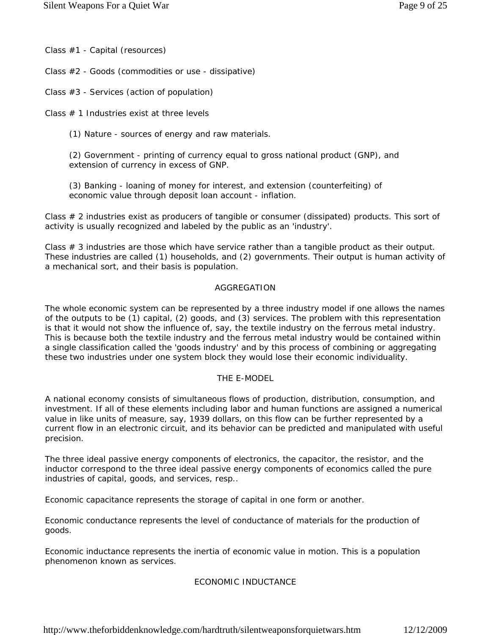Class #1 - Capital (resources)

Class #2 - Goods (commodities or use - dissipative)

Class #3 - Services (action of population)

Class # 1 Industries exist at three levels

(1) Nature - sources of energy and raw materials.

(2) Government - printing of currency equal to gross national product (GNP), and extension of currency in excess of GNP.

(3) Banking - loaning of money for interest, and extension (counterfeiting) of economic value through deposit loan account - inflation.

Class  $# 2$  industries exist as producers of tangible or consumer (dissipated) products. This sort of activity is usually recognized and labeled by the public as an 'industry'.

Class # 3 industries are those which have service rather than a tangible product as their output. These industries are called (1) households, and (2) governments. Their output is human activity of a mechanical sort, and their basis is population.

## AGGREGATION

The whole economic system can be represented by a three industry model if one allows the names of the outputs to be (1) capital, (2) goods, and (3) services. The problem with this representation is that it would not show the influence of, say, the textile industry on the ferrous metal industry. This is because both the textile industry and the ferrous metal industry would be contained within a single classification called the 'goods industry' and by this process of combining or aggregating these two industries under one system block they would lose their economic individuality.

## THE E-MODEL

A national economy consists of simultaneous flows of production, distribution, consumption, and investment. If all of these elements including labor and human functions are assigned a numerical value in like units of measure, say, 1939 dollars, on this flow can be further represented by a current flow in an electronic circuit, and its behavior can be predicted and manipulated with useful precision.

The three ideal passive energy components of electronics, the capacitor, the resistor, and the inductor correspond to the three ideal passive energy components of economics called the pure industries of capital, goods, and services, resp..

Economic capacitance represents the storage of capital in one form or another.

Economic conductance represents the level of conductance of materials for the production of goods.

Economic inductance represents the inertia of economic value in motion. This is a population phenomenon known as services.

## ECONOMIC INDUCTANCE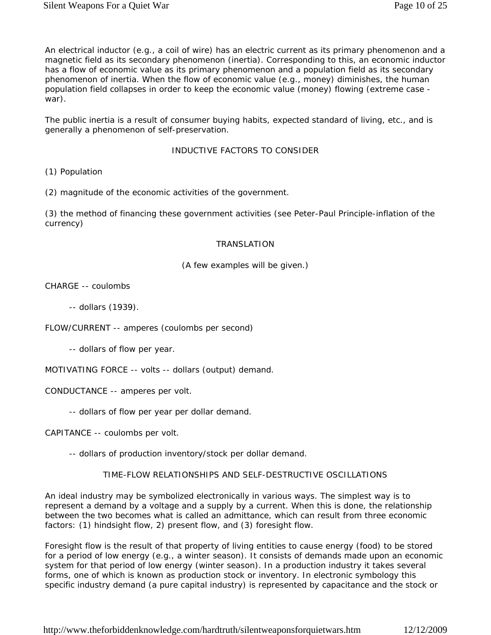An electrical inductor (e.g., a coil of wire) has an electric current as its primary phenomenon and a magnetic field as its secondary phenomenon (inertia). Corresponding to this, an economic inductor has a flow of economic value as its primary phenomenon and a population field as its secondary phenomenon of inertia. When the flow of economic value (e.g., money) diminishes, the human population field collapses in order to keep the economic value (money) flowing (extreme case war).

The public inertia is a result of consumer buying habits, expected standard of living, etc., and is generally a phenomenon of self-preservation.

## INDUCTIVE FACTORS TO CONSIDER

(1) Population

(2) magnitude of the economic activities of the government.

(3) the method of financing these government activities (see Peter-Paul Principle-inflation of the currency)

## TRANSLATION

## (A few examples will be given.)

CHARGE -- coulombs

-- dollars (1939).

FLOW/CURRENT -- amperes (coulombs per second)

-- dollars of flow per year.

MOTIVATING FORCE -- volts -- dollars (output) demand.

CONDUCTANCE -- amperes per volt.

-- dollars of flow per year per dollar demand.

CAPITANCE -- coulombs per volt.

-- dollars of production inventory/stock per dollar demand.

## TIME-FLOW RELATIONSHIPS AND SELF-DESTRUCTIVE OSCILLATIONS

An ideal industry may be symbolized electronically in various ways. The simplest way is to represent a demand by a voltage and a supply by a current. When this is done, the relationship between the two becomes what is called an admittance, which can result from three economic factors: (1) hindsight flow, 2) present flow, and (3) foresight flow.

Foresight flow is the result of that property of living entities to cause energy (food) to be stored for a period of low energy (e.g., a winter season). It consists of demands made upon an economic system for that period of low energy (winter season). In a production industry it takes several forms, one of which is known as production stock or inventory. In electronic symbology this specific industry demand (a pure capital industry) is represented by capacitance and the stock or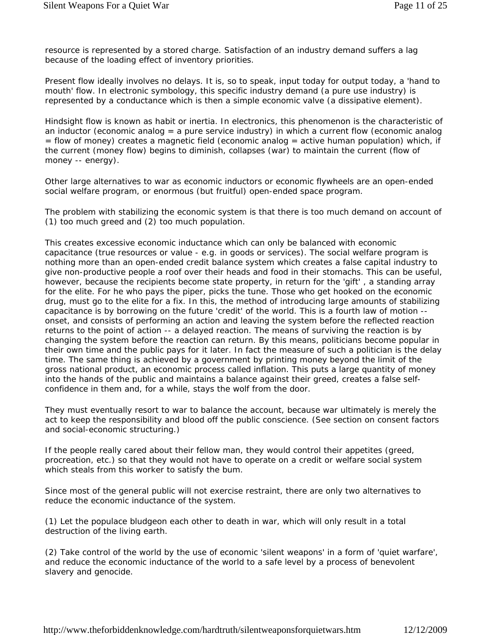resource is represented by a stored charge. Satisfaction of an industry demand suffers a lag because of the loading effect of inventory priorities.

Present flow ideally involves no delays. It is, so to speak, input today for output today, a 'hand to mouth' flow. In electronic symbology, this specific industry demand (a pure use industry) is represented by a conductance which is then a simple economic valve (a dissipative element).

Hindsight flow is known as habit or inertia. In electronics, this phenomenon is the characteristic of an inductor (economic analog = a pure service industry) in which a current flow (economic analog = flow of money) creates a magnetic field (economic analog = active human population) which, if the current (money flow) begins to diminish, collapses (war) to maintain the current (flow of money -- energy).

Other large alternatives to war as economic inductors or economic flywheels are an open-ended social welfare program, or enormous (but fruitful) open-ended space program.

The problem with stabilizing the economic system is that there is too much demand on account of (1) too much greed and (2) too much population.

This creates excessive economic inductance which can only be balanced with economic capacitance (true resources or value - e.g. in goods or services). The social welfare program is nothing more than an open-ended credit balance system which creates a false capital industry to give non-productive people a roof over their heads and food in their stomachs. This can be useful, however, because the recipients become state property, in return for the 'gift' , a standing array for the elite. For he who pays the piper, picks the tune. Those who get hooked on the economic drug, must go to the elite for a fix. In this, the method of introducing large amounts of stabilizing capacitance is by borrowing on the future 'credit' of the world. This is a fourth law of motion - onset, and consists of performing an action and leaving the system before the reflected reaction returns to the point of action -- a delayed reaction. The means of surviving the reaction is by changing the system before the reaction can return. By this means, politicians become popular in their own time and the public pays for it later. In fact the measure of such a politician is the delay time. The same thing is achieved by a government by printing money beyond the limit of the gross national product, an economic process called inflation. This puts a large quantity of money into the hands of the public and maintains a balance against their greed, creates a false selfconfidence in them and, for a while, stays the wolf from the door.

They must eventually resort to war to balance the account, because war ultimately is merely the act to keep the responsibility and blood off the public conscience. (See section on consent factors and social-economic structuring.)

If the people really cared about their fellow man, they would control their appetites (greed, procreation, etc.) so that they would not have to operate on a credit or welfare social system which steals from this worker to satisfy the bum.

Since most of the general public will not exercise restraint, there are only two alternatives to reduce the economic inductance of the system.

(1) Let the populace bludgeon each other to death in war, which will only result in a total destruction of the living earth.

(2) Take control of the world by the use of economic 'silent weapons' in a form of 'quiet warfare', and reduce the economic inductance of the world to a safe level by a process of benevolent slavery and genocide.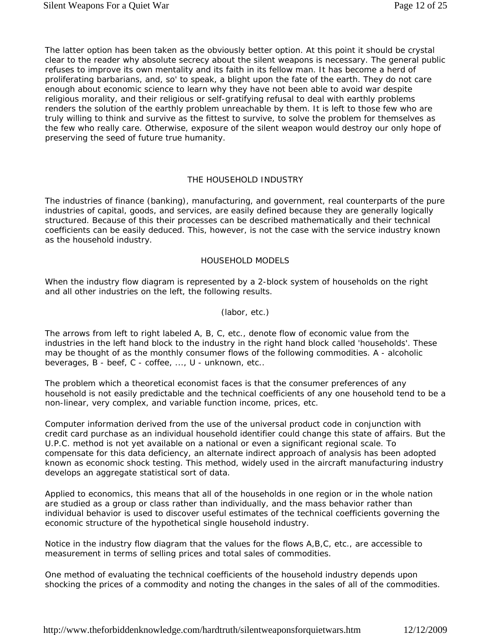The latter option has been taken as the obviously better option. At this point it should be crystal clear to the reader why absolute secrecy about the silent weapons is necessary. The general public refuses to improve its own mentality and its faith in its fellow man. It has become a herd of proliferating barbarians, and, so' to speak, a blight upon the fate of the earth. They do not care enough about economic science to learn why they have not been able to avoid war despite religious morality, and their religious or self-gratifying refusal to deal with earthly problems renders the solution of the earthly problem unreachable by them. It is left to those few who are truly willing to think and survive as the fittest to survive, to solve the problem for themselves as the few who really care. Otherwise, exposure of the silent weapon would destroy our only hope of preserving the seed of future true humanity.

## THE HOUSEHOLD INDUSTRY

The industries of finance (banking), manufacturing, and government, real counterparts of the pure industries of capital, goods, and services, are easily defined because they are generally logically structured. Because of this their processes can be described mathematically and their technical coefficients can be easily deduced. This, however, is not the case with the service industry known as the household industry.

## HOUSEHOLD MODELS

When the industry flow diagram is represented by a 2-block system of households on the right and all other industries on the left, the following results.

## (labor, etc.)

The arrows from left to right labeled A, B, C, etc., denote flow of economic value from the industries in the left hand block to the industry in the right hand block called 'households'. These may be thought of as the monthly consumer flows of the following commodities. A - alcoholic beverages, B - beef, C - coffee, ..., U - unknown, etc..

The problem which a theoretical economist faces is that the consumer preferences of any household is not easily predictable and the technical coefficients of any one household tend to be a non-linear, very complex, and variable function income, prices, etc.

Computer information derived from the use of the universal product code in conjunction with credit card purchase as an individual household identifier could change this state of affairs. But the U.P.C. method is not yet available on a national or even a significant regional scale. To compensate for this data deficiency, an alternate indirect approach of analysis has been adopted known as economic shock testing. This method, widely used in the aircraft manufacturing industry develops an aggregate statistical sort of data.

Applied to economics, this means that all of the households in one region or in the whole nation are studied as a group or class rather than individually, and the mass behavior rather than individual behavior is used to discover useful estimates of the technical coefficients governing the economic structure of the hypothetical single household industry.

Notice in the industry flow diagram that the values for the flows A,B,C, etc., are accessible to measurement in terms of selling prices and total sales of commodities.

One method of evaluating the technical coefficients of the household industry depends upon shocking the prices of a commodity and noting the changes in the sales of all of the commodities.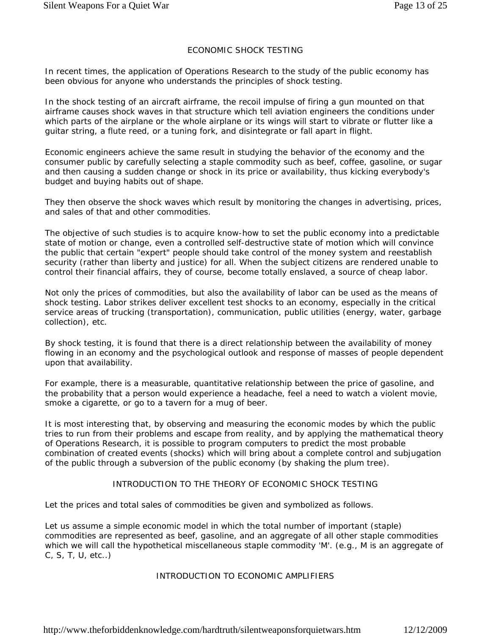## ECONOMIC SHOCK TESTING

In recent times, the application of Operations Research to the study of the public economy has been obvious for anyone who understands the principles of shock testing.

In the shock testing of an aircraft airframe, the recoil impulse of firing a gun mounted on that airframe causes shock waves in that structure which tell aviation engineers the conditions under which parts of the airplane or the whole airplane or its wings will start to vibrate or flutter like a guitar string, a flute reed, or a tuning fork, and disintegrate or fall apart in flight.

Economic engineers achieve the same result in studying the behavior of the economy and the consumer public by carefully selecting a staple commodity such as beef, coffee, gasoline, or sugar and then causing a sudden change or shock in its price or availability, thus kicking everybody's budget and buying habits out of shape.

They then observe the shock waves which result by monitoring the changes in advertising, prices, and sales of that and other commodities.

The objective of such studies is to acquire know-how to set the public economy into a predictable state of motion or change, even a controlled self-destructive state of motion which will convince the public that certain "expert" people should take control of the money system and reestablish security (rather than liberty and justice) for all. When the subject citizens are rendered unable to control their financial affairs, they of course, become totally enslaved, a source of cheap labor.

Not only the prices of commodities, but also the availability of labor can be used as the means of shock testing. Labor strikes deliver excellent test shocks to an economy, especially in the critical service areas of trucking (transportation), communication, public utilities (energy, water, garbage collection), etc.

By shock testing, it is found that there is a direct relationship between the availability of money flowing in an economy and the psychological outlook and response of masses of people dependent upon that availability.

For example, there is a measurable, quantitative relationship between the price of gasoline, and the probability that a person would experience a headache, feel a need to watch a violent movie, smoke a cigarette, or go to a tavern for a mug of beer.

It is most interesting that, by observing and measuring the economic modes by which the public tries to run from their problems and escape from reality, and by applying the mathematical theory of Operations Research, it is possible to program computers to predict the most probable combination of created events (shocks) which will bring about a complete control and subjugation of the public through a subversion of the public economy (by shaking the plum tree).

## INTRODUCTION TO THE THEORY OF ECONOMIC SHOCK TESTING

Let the prices and total sales of commodities be given and symbolized as follows.

Let us assume a simple economic model in which the total number of important (staple) commodities are represented as beef, gasoline, and an aggregate of all other staple commodities which we will call the hypothetical miscellaneous staple commodity 'M'. (e.g., M is an aggregate of C, S, T, U, etc..)

#### INTRODUCTION TO ECONOMIC AMPLIFIERS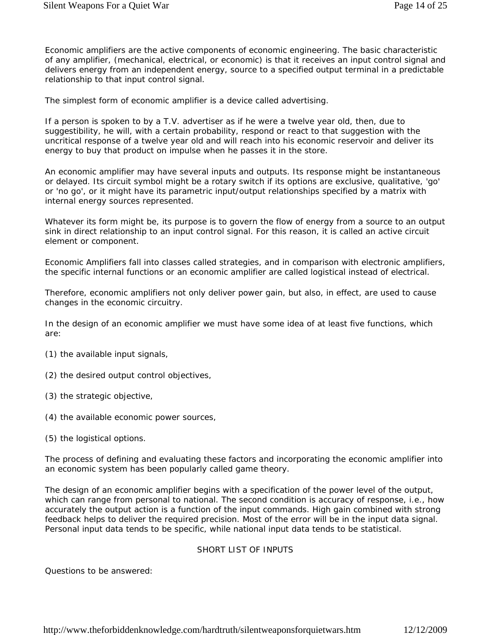Economic amplifiers are the active components of economic engineering. The basic characteristic of any amplifier, (mechanical, electrical, or economic) is that it receives an input control signal and delivers energy from an independent energy, source to a specified output terminal in a predictable relationship to that input control signal.

The simplest form of economic amplifier is a device called advertising.

If a person is spoken to by a T.V. advertiser as if he were a twelve year old, then, due to suggestibility, he will, with a certain probability, respond or react to that suggestion with the uncritical response of a twelve year old and will reach into his economic reservoir and deliver its energy to buy that product on impulse when he passes it in the store.

An economic amplifier may have several inputs and outputs. Its response might be instantaneous or delayed. Its circuit symbol might be a rotary switch if its options are exclusive, qualitative, 'go' or 'no go', or it might have its parametric input/output relationships specified by a matrix with internal energy sources represented.

Whatever its form might be, its purpose is to govern the flow of energy from a source to an output sink in direct relationship to an input control signal. For this reason, it is called an active circuit element or component.

Economic Amplifiers fall into classes called strategies, and in comparison with electronic amplifiers, the specific internal functions or an economic amplifier are called logistical instead of electrical.

Therefore, economic amplifiers not only deliver power gain, but also, in effect, are used to cause changes in the economic circuitry.

In the design of an economic amplifier we must have some idea of at least five functions, which are:

- (1) the available input signals,
- (2) the desired output control objectives,
- (3) the strategic objective,
- (4) the available economic power sources,
- (5) the logistical options.

The process of defining and evaluating these factors and incorporating the economic amplifier into an economic system has been popularly called game theory.

The design of an economic amplifier begins with a specification of the power level of the output, which can range from personal to national. The second condition is accuracy of response, i.e., how accurately the output action is a function of the input commands. High gain combined with strong feedback helps to deliver the required precision. Most of the error will be in the input data signal. Personal input data tends to be specific, while national input data tends to be statistical.

#### SHORT LIST OF INPUTS

Questions to be answered: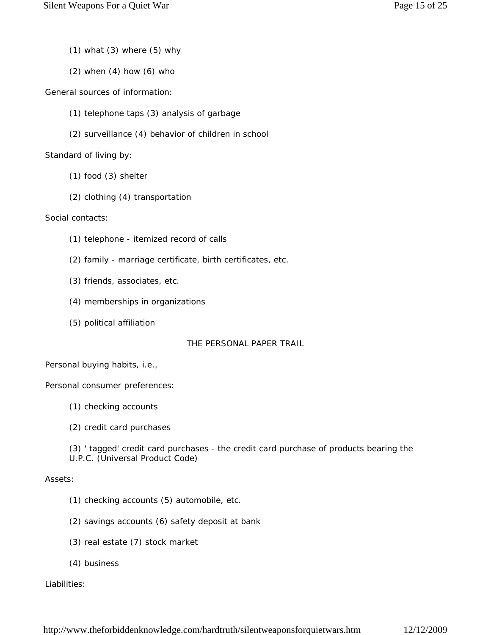- $(1)$  what  $(3)$  where  $(5)$  why
- $(2)$  when  $(4)$  how  $(6)$  who

General sources of information:

- (1) telephone taps (3) analysis of garbage
- (2) surveillance (4) behavior of children in school

## Standard of living by:

- (1) food (3) shelter
- (2) clothing (4) transportation

## Social contacts:

- (1) telephone itemized record of calls
- (2) family marriage certificate, birth certificates, etc.
- (3) friends, associates, etc.
- (4) memberships in organizations
- (5) political affiliation

THE PERSONAL PAPER TRAIL

Personal buying habits, i.e.,

Personal consumer preferences:

- (1) checking accounts
- (2) credit card purchases
- (3) ' tagged' credit card purchases the credit card purchase of products bearing the U.P.C. (Universal Product Code)

## Assets:

- (1) checking accounts (5) automobile, etc.
- (2) savings accounts (6) safety deposit at bank
- (3) real estate (7) stock market
- (4) business

## Liabilities: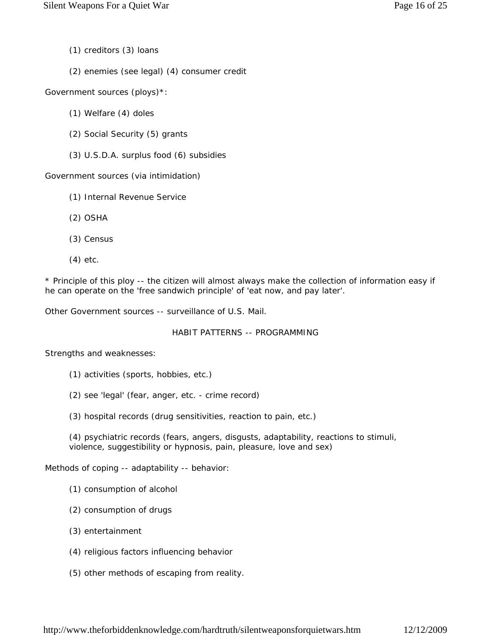- (1) creditors (3) loans
- (2) enemies (see legal) (4) consumer credit

Government sources (ploys)\*:

- (1) Welfare (4) doles
- (2) Social Security (5) grants
- (3) U.S.D.A. surplus food (6) subsidies

Government sources (via intimidation)

- (1) Internal Revenue Service
- (2) OSHA
- (3) Census
- (4) etc.

\* Principle of this ploy -- the citizen will almost always make the collection of information easy if he can operate on the 'free sandwich principle' of 'eat now, and pay later'.

Other Government sources -- surveillance of U.S. Mail.

HABIT PATTERNS -- PROGRAMMING

Strengths and weaknesses:

- (1) activities (sports, hobbies, etc.)
- (2) see 'legal' (fear, anger, etc. crime record)
- (3) hospital records (drug sensitivities, reaction to pain, etc.)

(4) psychiatric records (fears, angers, disgusts, adaptability, reactions to stimuli, violence, suggestibility or hypnosis, pain, pleasure, love and sex)

Methods of coping -- adaptability -- behavior:

- (1) consumption of alcohol
- (2) consumption of drugs
- (3) entertainment
- (4) religious factors influencing behavior
- (5) other methods of escaping from reality.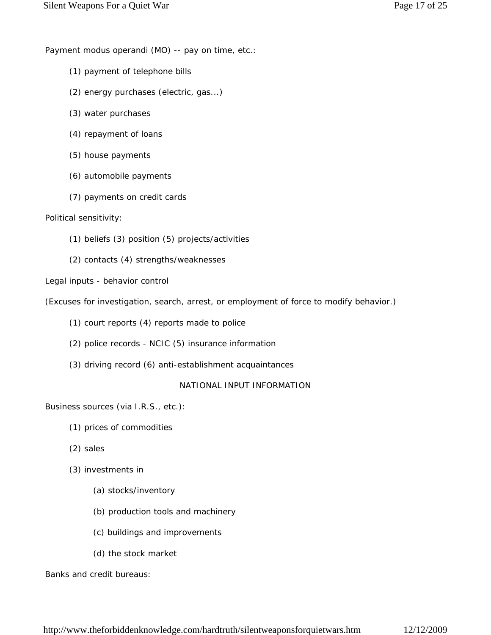Payment modus operandi (MO) -- pay on time, etc.:

- (1) payment of telephone bills
- (2) energy purchases (electric, gas...)
- (3) water purchases
- (4) repayment of loans
- (5) house payments
- (6) automobile payments
- (7) payments on credit cards

#### Political sensitivity:

- (1) beliefs (3) position (5) projects/activities
- (2) contacts (4) strengths/weaknesses
- Legal inputs behavior control

(Excuses for investigation, search, arrest, or employment of force to modify behavior.)

- (1) court reports (4) reports made to police
- (2) police records NCIC (5) insurance information
- (3) driving record (6) anti-establishment acquaintances

#### NATIONAL INPUT INFORMATION

Business sources (via I.R.S., etc.):

- (1) prices of commodities
- (2) sales
- (3) investments in
	- (a) stocks/inventory
	- (b) production tools and machinery
	- (c) buildings and improvements
	- (d) the stock market

Banks and credit bureaus: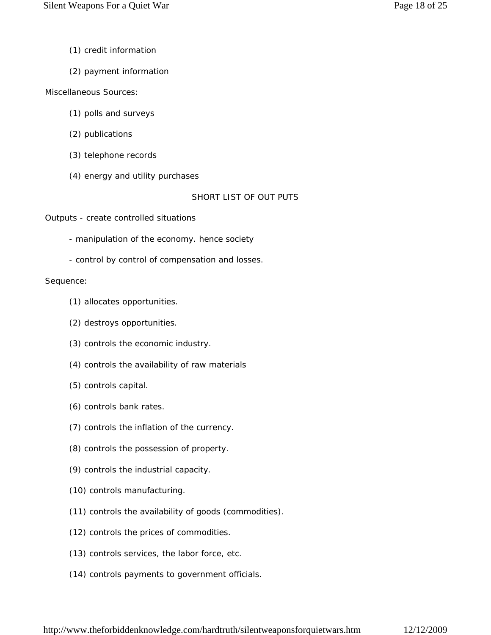- (1) credit information
- (2) payment information

Miscellaneous Sources:

- (1) polls and surveys
- (2) publications
- (3) telephone records
- (4) energy and utility purchases

## SHORT LIST OF OUT PUTS

Outputs - create controlled situations

- manipulation of the economy. hence society
- control by control of compensation and losses.

## Sequence:

- (1) allocates opportunities.
- (2) destroys opportunities.
- (3) controls the economic industry.
- (4) controls the availability of raw materials
- (5) controls capital.
- (6) controls bank rates.
- (7) controls the inflation of the currency.
- (8) controls the possession of property.
- (9) controls the industrial capacity.
- (10) controls manufacturing.
- (11) controls the availability of goods (commodities).
- (12) controls the prices of commodities.
- (13) controls services, the labor force, etc.
- (14) controls payments to government officials.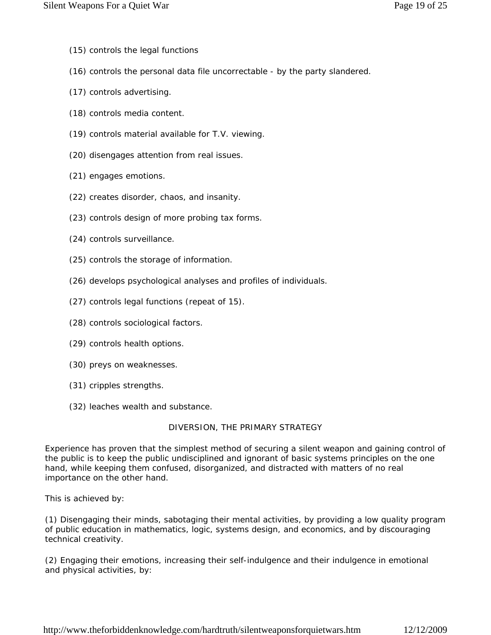- (15) controls the legal functions
- (16) controls the personal data file uncorrectable by the party slandered.
- (17) controls advertising.
- (18) controls media content.
- (19) controls material available for T.V. viewing.
- (20) disengages attention from real issues.
- (21) engages emotions.
- (22) creates disorder, chaos, and insanity.
- (23) controls design of more probing tax forms.
- (24) controls surveillance.
- (25) controls the storage of information.
- (26) develops psychological analyses and profiles of individuals.
- (27) controls legal functions (repeat of 15).
- (28) controls sociological factors.
- (29) controls health options.
- (30) preys on weaknesses.
- (31) cripples strengths.
- (32) leaches wealth and substance.

## DIVERSION, THE PRIMARY STRATEGY

Experience has proven that the simplest method of securing a silent weapon and gaining control of the public is to keep the public undisciplined and ignorant of basic systems principles on the one hand, while keeping them confused, disorganized, and distracted with matters of no real importance on the other hand.

This is achieved by:

(1) Disengaging their minds, sabotaging their mental activities, by providing a low quality program of public education in mathematics, logic, systems design, and economics, and by discouraging technical creativity.

(2) Engaging their emotions, increasing their self-indulgence and their indulgence in emotional and physical activities, by: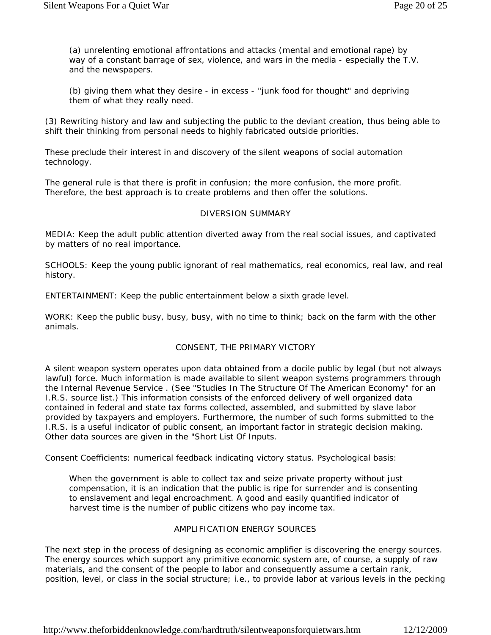(a) unrelenting emotional affrontations and attacks (mental and emotional rape) by way of a constant barrage of sex, violence, and wars in the media - especially the T.V. and the newspapers.

(b) giving them what they desire - in excess - "junk food for thought" and depriving them of what they really need.

(3) Rewriting history and law and subjecting the public to the deviant creation, thus being able to shift their thinking from personal needs to highly fabricated outside priorities.

These preclude their interest in and discovery of the silent weapons of social automation technology.

The general rule is that there is profit in confusion; the more confusion, the more profit. Therefore, the best approach is to create problems and then offer the solutions.

## DIVERSION SUMMARY

MEDIA: Keep the adult public attention diverted away from the real social issues, and captivated by matters of no real importance.

SCHOOLS: Keep the young public ignorant of real mathematics, real economics, real law, and real history.

ENTERTAINMENT: Keep the public entertainment below a sixth grade level.

WORK: Keep the public busy, busy, busy, with no time to think; back on the farm with the other animals.

## CONSENT, THE PRIMARY VICTORY

A silent weapon system operates upon data obtained from a docile public by legal (but not always lawful) force. Much information is made available to silent weapon systems programmers through the Internal Revenue Service . (See "Studies In The Structure Of The American Economy" for an I.R.S. source list.) This information consists of the enforced delivery of well organized data contained in federal and state tax forms collected, assembled, and submitted by slave labor provided by taxpayers and employers. Furthermore, the number of such forms submitted to the I.R.S. is a useful indicator of public consent, an important factor in strategic decision making. Other data sources are given in the "Short List Of Inputs.

Consent Coefficients: numerical feedback indicating victory status. Psychological basis:

When the government is able to collect tax and seize private property without just compensation, it is an indication that the public is ripe for surrender and is consenting to enslavement and legal encroachment. A good and easily quantified indicator of harvest time is the number of public citizens who pay income tax.

## AMPLIFICATION ENERGY SOURCES

The next step in the process of designing as economic amplifier is discovering the energy sources. The energy sources which support any primitive economic system are, of course, a supply of raw materials, and the consent of the people to labor and consequently assume a certain rank, position, level, or class in the social structure; i.e., to provide labor at various levels in the pecking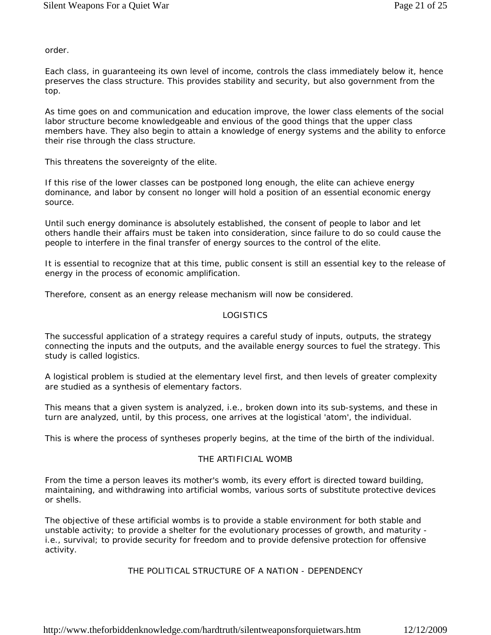order.

Each class, in guaranteeing its own level of income, controls the class immediately below it, hence preserves the class structure. This provides stability and security, but also government from the top.

As time goes on and communication and education improve, the lower class elements of the social labor structure become knowledgeable and envious of the good things that the upper class members have. They also begin to attain a knowledge of energy systems and the ability to enforce their rise through the class structure.

This threatens the sovereignty of the elite.

If this rise of the lower classes can be postponed long enough, the elite can achieve energy dominance, and labor by consent no longer will hold a position of an essential economic energy source.

Until such energy dominance is absolutely established, the consent of people to labor and let others handle their affairs must be taken into consideration, since failure to do so could cause the people to interfere in the final transfer of energy sources to the control of the elite.

It is essential to recognize that at this time, public consent is still an essential key to the release of energy in the process of economic amplification.

Therefore, consent as an energy release mechanism will now be considered.

## LOGISTICS

The successful application of a strategy requires a careful study of inputs, outputs, the strategy connecting the inputs and the outputs, and the available energy sources to fuel the strategy. This study is called logistics.

A logistical problem is studied at the elementary level first, and then levels of greater complexity are studied as a synthesis of elementary factors.

This means that a given system is analyzed, i.e., broken down into its sub-systems, and these in turn are analyzed, until, by this process, one arrives at the logistical 'atom', the individual.

This is where the process of syntheses properly begins, at the time of the birth of the individual.

## THE ARTIFICIAL WOMB

From the time a person leaves its mother's womb, its every effort is directed toward building, maintaining, and withdrawing into artificial wombs, various sorts of substitute protective devices or shells.

The objective of these artificial wombs is to provide a stable environment for both stable and unstable activity; to provide a shelter for the evolutionary processes of growth, and maturity i.e., survival; to provide security for freedom and to provide defensive protection for offensive activity.

## THE POLITICAL STRUCTURE OF A NATION - DEPENDENCY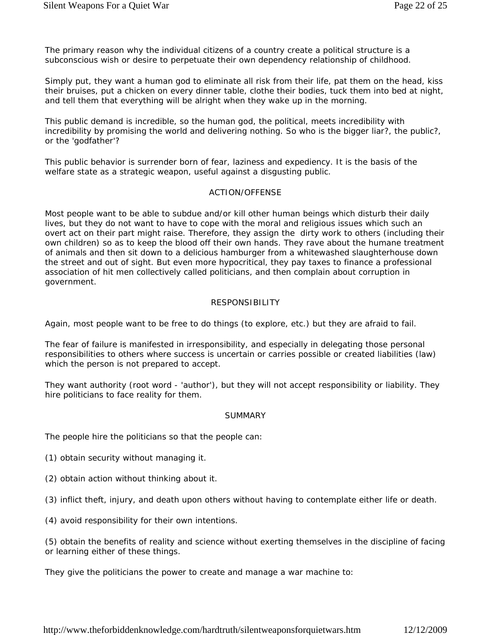The primary reason why the individual citizens of a country create a political structure is a subconscious wish or desire to perpetuate their own dependency relationship of childhood.

Simply put, they want a human god to eliminate all risk from their life, pat them on the head, kiss their bruises, put a chicken on every dinner table, clothe their bodies, tuck them into bed at night, and tell them that everything will be alright when they wake up in the morning.

This public demand is incredible, so the human god, the political, meets incredibility with incredibility by promising the world and delivering nothing. So who is the bigger liar?, the public?, or the 'godfather'?

This public behavior is surrender born of fear, laziness and expediency. It is the basis of the welfare state as a strategic weapon, useful against a disgusting public.

## ACTION/OFFENSE

Most people want to be able to subdue and/or kill other human beings which disturb their daily lives, but they do not want to have to cope with the moral and religious issues which such an overt act on their part might raise. Therefore, they assign the dirty work to others (including their own children) so as to keep the blood off their own hands. They rave about the humane treatment of animals and then sit down to a delicious hamburger from a whitewashed slaughterhouse down the street and out of sight. But even more hypocritical, they pay taxes to finance a professional association of hit men collectively called politicians, and then complain about corruption in government.

## **RESPONSIBILITY**

Again, most people want to be free to do things (to explore, etc.) but they are afraid to fail.

The fear of failure is manifested in irresponsibility, and especially in delegating those personal responsibilities to others where success is uncertain or carries possible or created liabilities (law) which the person is not prepared to accept.

They want authority (root word - 'author'), but they will not accept responsibility or liability. They hire politicians to face reality for them.

#### SUMMARY

The people hire the politicians so that the people can:

- (1) obtain security without managing it.
- (2) obtain action without thinking about it.
- (3) inflict theft, injury, and death upon others without having to contemplate either life or death.
- (4) avoid responsibility for their own intentions.

(5) obtain the benefits of reality and science without exerting themselves in the discipline of facing or learning either of these things.

They give the politicians the power to create and manage a war machine to: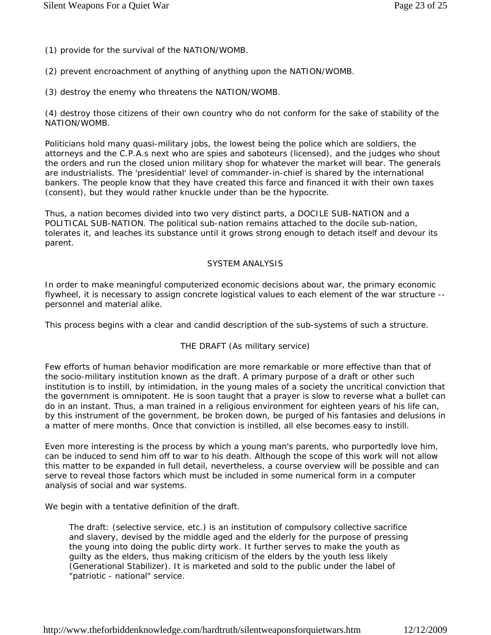(1) provide for the survival of the NATION/WOMB.

(2) prevent encroachment of anything of anything upon the NATION/WOMB.

(3) destroy the enemy who threatens the NATION/WOMB.

(4) destroy those citizens of their own country who do not conform for the sake of stability of the NATION/WOMB.

Politicians hold many quasi-military jobs, the lowest being the police which are soldiers, the attorneys and the C.P.A.s next who are spies and saboteurs (licensed), and the judges who shout the orders and run the closed union military shop for whatever the market will bear. The generals are industrialists. The 'presidential' level of commander-in-chief is shared by the international bankers. The people know that they have created this farce and financed it with their own taxes (consent), but they would rather knuckle under than be the hypocrite.

Thus, a nation becomes divided into two very distinct parts, a DOCILE SUB-NATION and a POLITICAL SUB-NATION. The political sub-nation remains attached to the docile sub-nation, tolerates it, and leaches its substance until it grows strong enough to detach itself and devour its parent.

#### SYSTEM ANALYSIS

In order to make meaningful computerized economic decisions about war, the primary economic flywheel, it is necessary to assign concrete logistical values to each element of the war structure - personnel and material alike.

This process begins with a clear and candid description of the sub-systems of such a structure.

#### THE DRAFT (As military service)

Few efforts of human behavior modification are more remarkable or more effective than that of the socio-military institution known as the draft. A primary purpose of a draft or other such institution is to instill, by intimidation, in the young males of a society the uncritical conviction that the government is omnipotent. He is soon taught that a prayer is slow to reverse what a bullet can do in an instant. Thus, a man trained in a religious environment for eighteen years of his life can, by this instrument of the government, be broken down, be purged of his fantasies and delusions in a matter of mere months. Once that conviction is instilled, all else becomes easy to instill.

Even more interesting is the process by which a young man's parents, who purportedly love him, can be induced to send him off to war to his death. Although the scope of this work will not allow this matter to be expanded in full detail, nevertheless, a course overview will be possible and can serve to reveal those factors which must be included in some numerical form in a computer analysis of social and war systems.

We begin with a tentative definition of the draft.

The draft: (selective service, etc.) is an institution of compulsory collective sacrifice and slavery, devised by the middle aged and the elderly for the purpose of pressing the young into doing the public dirty work. It further serves to make the youth as guilty as the elders, thus making criticism of the elders by the youth less likely (Generational Stabilizer). It is marketed and sold to the public under the label of "patriotic - national" service.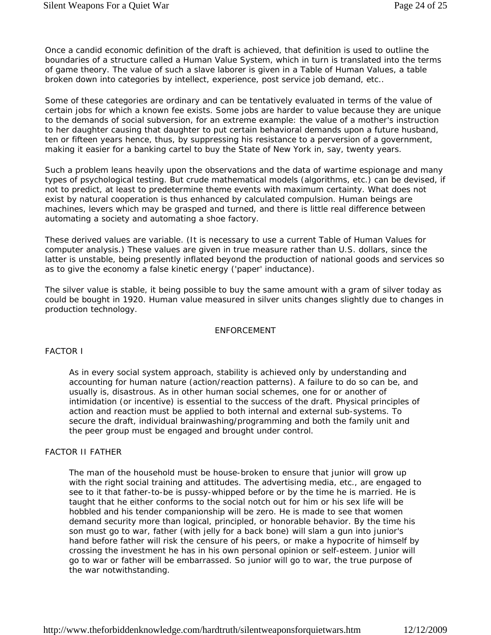Once a candid economic definition of the draft is achieved, that definition is used to outline the boundaries of a structure called a Human Value System, which in turn is translated into the terms of game theory. The value of such a slave laborer is given in a Table of Human Values, a table broken down into categories by intellect, experience, post service job demand, etc..

Some of these categories are ordinary and can be tentatively evaluated in terms of the value of certain jobs for which a known fee exists. Some jobs are harder to value because they are unique to the demands of social subversion, for an extreme example: the value of a mother's instruction to her daughter causing that daughter to put certain behavioral demands upon a future husband, ten or fifteen years hence, thus, by suppressing his resistance to a perversion of a government, making it easier for a banking cartel to buy the State of New York in, say, twenty years.

Such a problem leans heavily upon the observations and the data of wartime espionage and many types of psychological testing. But crude mathematical models (algorithms, etc.) can be devised, if not to predict, at least to predetermine theme events with maximum certainty. What does not exist by natural cooperation is thus enhanced by calculated compulsion. Human beings are machines, levers which may be grasped and turned, and there is little real difference between automating a society and automating a shoe factory.

These derived values are variable. (It is necessary to use a current Table of Human Values for computer analysis.) These values are given in true measure rather than U.S. dollars, since the latter is unstable, being presently inflated beyond the production of national goods and services so as to give the economy a false kinetic energy ('paper' inductance).

The silver value is stable, it being possible to buy the same amount with a gram of silver today as could be bought in 1920. Human value measured in silver units changes slightly due to changes in production technology.

#### ENFORCEMENT

## FACTOR I

As in every social system approach, stability is achieved only by understanding and accounting for human nature (action/reaction patterns). A failure to do so can be, and usually is, disastrous. As in other human social schemes, one for or another of intimidation (or incentive) is essential to the success of the draft. Physical principles of action and reaction must be applied to both internal and external sub-systems. To secure the draft, individual brainwashing/programming and both the family unit and the peer group must be engaged and brought under control.

## FACTOR II FATHER

The man of the household must be house-broken to ensure that junior will grow up with the right social training and attitudes. The advertising media, etc., are engaged to see to it that father-to-be is pussy-whipped before or by the time he is married. He is taught that he either conforms to the social notch out for him or his sex life will be hobbled and his tender companionship will be zero. He is made to see that women demand security more than logical, principled, or honorable behavior. By the time his son must go to war, father (with jelly for a back bone) will slam a gun into junior's hand before father will risk the censure of his peers, or make a hypocrite of himself by crossing the investment he has in his own personal opinion or self-esteem. Junior will go to war or father will be embarrassed. So junior will go to war, the true purpose of the war notwithstanding.